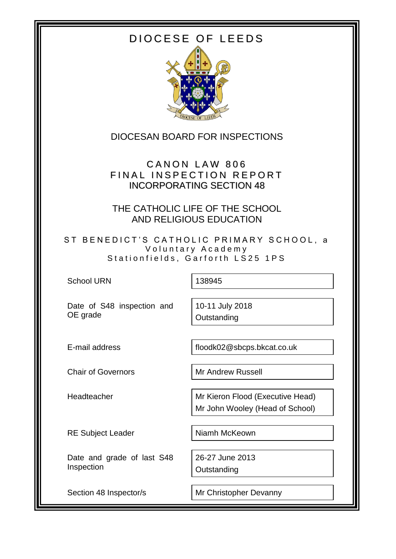# DIOCESE OF LEEDS



DIOCESAN BOARD FOR INSPECTIONS

CANON LAW 806 FINAL INSPECTION REPORT INCORPORATING SECTION 48

THE CATHOLIC LIFE OF THE SCHOOL AND RELIGIOUS EDUCATION

ST BENEDICT'S CATHOLIC PRIMARY SCHOOL, a Voluntary Academy Stationfields, Garforth LS25 1PS

School URN 138945

Date of S48 inspection and OE grade

10-11 July 2018 **Outstanding** 

E-mail address floodk02@sbcps.bkcat.co.uk

Chair of Governors Mr Andrew Russell

Headteacher Mr Kieron Flood (Executive Head)

RE Subject Leader Niamh McKeown

Mr John Wooley (Head of School)

Date and grade of last S48 Inspection

**Outstanding** 

26-27 June 2013

Section 48 Inspector/s Mr Christopher Devanny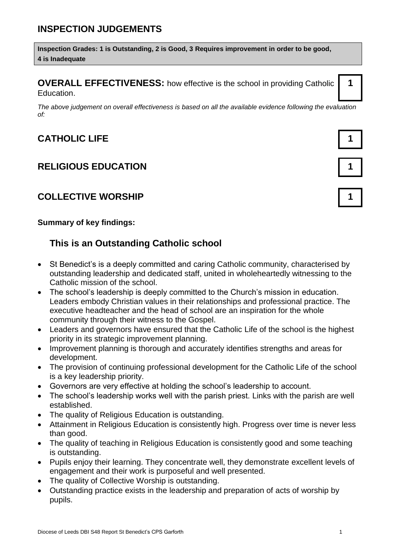## **INSPECTION JUDGEMENTS**

**Inspection Grades: 1 is Outstanding, 2 is Good, 3 Requires improvement in order to be good, 4 is Inadequate**

**OVERALL EFFECTIVENESS:** how effective is the school in providing Catholic Education.

*The above judgement on overall effectiveness is based on all the available evidence following the evaluation of:*

## **CATHOLIC LIFE 1**

### **RELIGIOUS EDUCATION 1**

### **COLLECTIVE WORSHIP 1**

#### **Summary of key findings:**

### **This is an Outstanding Catholic school**

- St Benedict's is a deeply committed and caring Catholic community, characterised by outstanding leadership and dedicated staff, united in wholeheartedly witnessing to the Catholic mission of the school.
- The school's leadership is deeply committed to the Church's mission in education. Leaders embody Christian values in their relationships and professional practice. The executive headteacher and the head of school are an inspiration for the whole community through their witness to the Gospel.
- Leaders and governors have ensured that the Catholic Life of the school is the highest priority in its strategic improvement planning.
- Improvement planning is thorough and accurately identifies strengths and areas for development.
- The provision of continuing professional development for the Catholic Life of the school is a key leadership priority.
- Governors are very effective at holding the school's leadership to account.
- The school's leadership works well with the parish priest. Links with the parish are well established.
- The quality of Religious Education is outstanding.
- Attainment in Religious Education is consistently high. Progress over time is never less than good.
- The quality of teaching in Religious Education is consistently good and some teaching is outstanding.
- Pupils enjoy their learning. They concentrate well, they demonstrate excellent levels of engagement and their work is purposeful and well presented.
- The quality of Collective Worship is outstanding.
- Outstanding practice exists in the leadership and preparation of acts of worship by pupils.

**1**

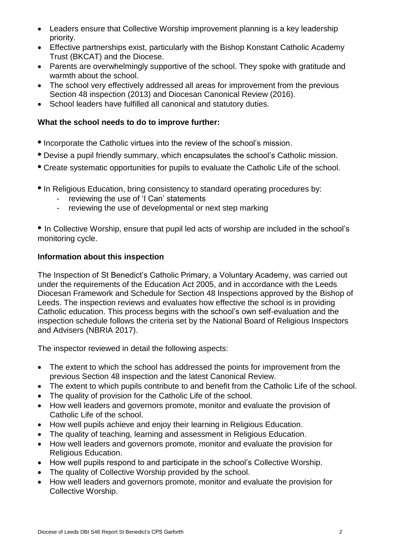- Leaders ensure that Collective Worship improvement planning is a key leadership priority.
- Effective partnerships exist, particularly with the Bishop Konstant Catholic Academy Trust (BKCAT) and the Diocese.
- Parents are overwhelmingly supportive of the school. They spoke with gratitude and warmth about the school.
- The school very effectively addressed all areas for improvement from the previous Section 48 inspection (2013) and Diocesan Canonical Review (2016).
- School leaders have fulfilled all canonical and statutory duties.

#### **What the school needs to do to improve further:**

- **•** Incorporate the Catholic virtues into the review of the school's mission.
- **•** Devise a pupil friendly summary, which encapsulates the school's Catholic mission.
- **•** Create systematic opportunities for pupils to evaluate the Catholic Life of the school.
- **•** In Religious Education, bring consistency to standard operating procedures by:
	- reviewing the use of 'I Can' statements
	- reviewing the use of developmental or next step marking

**•** In Collective Worship, ensure that pupil led acts of worship are included in the school's monitoring cycle.

#### **Information about this inspection**

The Inspection of St Benedict's Catholic Primary, a Voluntary Academy, was carried out under the requirements of the Education Act 2005, and in accordance with the Leeds Diocesan Framework and Schedule for Section 48 Inspections approved by the Bishop of Leeds. The inspection reviews and evaluates how effective the school is in providing Catholic education. This process begins with the school's own self-evaluation and the inspection schedule follows the criteria set by the National Board of Religious Inspectors and Advisers (NBRIA 2017).

The inspector reviewed in detail the following aspects:

- The extent to which the school has addressed the points for improvement from the previous Section 48 inspection and the latest Canonical Review.
- The extent to which pupils contribute to and benefit from the Catholic Life of the school.
- The quality of provision for the Catholic Life of the school.
- How well leaders and governors promote, monitor and evaluate the provision of Catholic Life of the school.
- How well pupils achieve and enjoy their learning in Religious Education.
- The quality of teaching, learning and assessment in Religious Education.
- How well leaders and governors promote, monitor and evaluate the provision for Religious Education.
- How well pupils respond to and participate in the school's Collective Worship.
- The quality of Collective Worship provided by the school.
- How well leaders and governors promote, monitor and evaluate the provision for Collective Worship.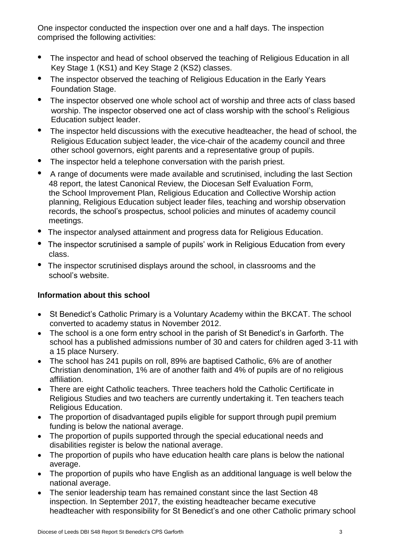One inspector conducted the inspection over one and a half days. The inspection comprised the following activities:

- The inspector and head of school observed the teaching of Religious Education in all Key Stage 1 (KS1) and Key Stage 2 (KS2) classes.
- The inspector observed the teaching of Religious Education in the Early Years Foundation Stage.
- The inspector observed one whole school act of worship and three acts of class based worship. The inspector observed one act of class worship with the school's Religious Education subject leader.
- The inspector held discussions with the executive headteacher, the head of school, the Religious Education subject leader, the vice-chair of the academy council and three other school governors, eight parents and a representative group of pupils.
- The inspector held a telephone conversation with the parish priest.
- A range of documents were made available and scrutinised, including the last Section 48 report, the latest Canonical Review, the Diocesan Self Evaluation Form, the School Improvement Plan, Religious Education and Collective Worship action planning, Religious Education subject leader files, teaching and worship observation records, the school's prospectus, school policies and minutes of academy council meetings.
- **•** The inspector analysed attainment and progress data for Religious Education.
- The inspector scrutinised a sample of pupils' work in Religious Education from every class.
- **•** The inspector scrutinised displays around the school, in classrooms and the school's website.

### **Information about this school**

- St Benedict's Catholic Primary is a Voluntary Academy within the BKCAT. The school converted to academy status in November 2012.
- The school is a one form entry school in the parish of St Benedict's in Garforth. The school has a published admissions number of 30 and caters for children aged 3-11 with a 15 place Nursery.
- The school has 241 pupils on roll, 89% are baptised Catholic, 6% are of another Christian denomination, 1% are of another faith and 4% of pupils are of no religious affiliation.
- There are eight Catholic teachers. Three teachers hold the Catholic Certificate in Religious Studies and two teachers are currently undertaking it. Ten teachers teach Religious Education.
- The proportion of disadvantaged pupils eligible for support through pupil premium funding is below the national average.
- The proportion of pupils supported through the special educational needs and disabilities register is below the national average.
- The proportion of pupils who have education health care plans is below the national average.
- The proportion of pupils who have English as an additional language is well below the national average.
- The senior leadership team has remained constant since the last Section 48 inspection. In September 2017, the existing headteacher became executive headteacher with responsibility for St Benedict's and one other Catholic primary school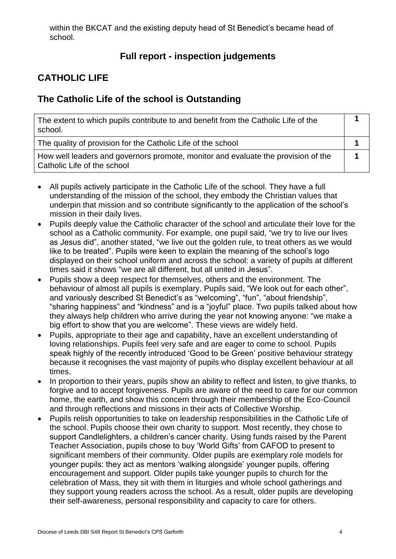within the BKCAT and the existing deputy head of St Benedict's became head of school.

## **Full report - inspection judgements**

## **CATHOLIC LIFE**

### **The Catholic Life of the school is Outstanding**

| The extent to which pupils contribute to and benefit from the Catholic Life of the<br>school.                    |  |
|------------------------------------------------------------------------------------------------------------------|--|
| The quality of provision for the Catholic Life of the school                                                     |  |
| How well leaders and governors promote, monitor and evaluate the provision of the<br>Catholic Life of the school |  |

- All pupils actively participate in the Catholic Life of the school. They have a full understanding of the mission of the school, they embody the Christian values that underpin that mission and so contribute significantly to the application of the school's mission in their daily lives.
- Pupils deeply value the Catholic character of the school and articulate their love for the school as a Catholic community. For example, one pupil said, "we try to live our lives as Jesus did", another stated, "we live out the golden rule, to treat others as we would like to be treated". Pupils were keen to explain the meaning of the school's logo displayed on their school uniform and across the school: a variety of pupils at different times said it shows "we are all different, but all united in Jesus".
- Pupils show a deep respect for themselves, others and the environment. The behaviour of almost all pupils is exemplary. Pupils said, "We look out for each other", and variously described St Benedict's as "welcoming", "fun", "about friendship", "sharing happiness" and "kindness" and is a "joyful" place. Two pupils talked about how they always help children who arrive during the year not knowing anyone: "we make a big effort to show that you are welcome". These views are widely held.
- Pupils, appropriate to their age and capability, have an excellent understanding of loving relationships. Pupils feel very safe and are eager to come to school. Pupils speak highly of the recently introduced 'Good to be Green' positive behaviour strategy because it recognises the vast majority of pupils who display excellent behaviour at all times.
- In proportion to their years, pupils show an ability to reflect and listen, to give thanks, to forgive and to accept forgiveness. Pupils are aware of the need to care for our common home, the earth, and show this concern through their membership of the Eco-Council and through reflections and missions in their acts of Collective Worship.
- Pupils relish opportunities to take on leadership responsibilities in the Catholic Life of the school. Pupils choose their own charity to support. Most recently, they chose to support Candlelighters, a children's cancer charity. Using funds raised by the Parent Teacher Association, pupils chose to buy 'World Gifts' from CAFOD to present to significant members of their community. Older pupils are exemplary role models for younger pupils: they act as mentors 'walking alongside' younger pupils, offering encouragement and support. Older pupils take younger pupils to church for the celebration of Mass, they sit with them in liturgies and whole school gatherings and they support young readers across the school. As a result, older pupils are developing their self-awareness, personal responsibility and capacity to care for others.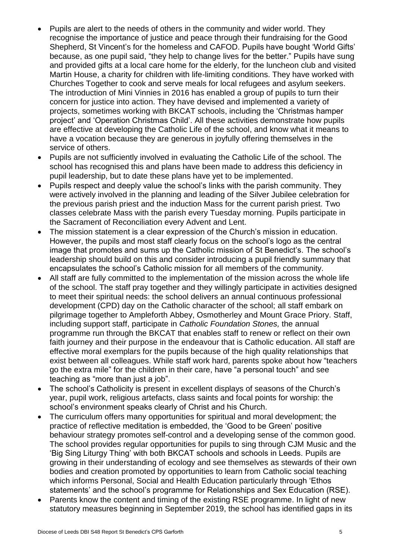- Pupils are alert to the needs of others in the community and wider world. They recognise the importance of justice and peace through their fundraising for the Good Shepherd, St Vincent's for the homeless and CAFOD. Pupils have bought 'World Gifts' because, as one pupil said, "they help to change lives for the better." Pupils have sung and provided gifts at a local care home for the elderly, for the luncheon club and visited Martin House, a charity for children with life-limiting conditions. They have worked with Churches Together to cook and serve meals for local refugees and asylum seekers. The introduction of Mini Vinnies in 2016 has enabled a group of pupils to turn their concern for justice into action. They have devised and implemented a variety of projects, sometimes working with BKCAT schools, including the 'Christmas hamper project' and 'Operation Christmas Child'. All these activities demonstrate how pupils are effective at developing the Catholic Life of the school, and know what it means to have a vocation because they are generous in joyfully offering themselves in the service of others.
- Pupils are not sufficiently involved in evaluating the Catholic Life of the school. The school has recognised this and plans have been made to address this deficiency in pupil leadership, but to date these plans have yet to be implemented.
- Pupils respect and deeply value the school's links with the parish community. They were actively involved in the planning and leading of the Silver Jubilee celebration for the previous parish priest and the induction Mass for the current parish priest. Two classes celebrate Mass with the parish every Tuesday morning. Pupils participate in the Sacrament of Reconciliation every Advent and Lent.
- The mission statement is a clear expression of the Church's mission in education. However, the pupils and most staff clearly focus on the school's logo as the central image that promotes and sums up the Catholic mission of St Benedict's. The school's leadership should build on this and consider introducing a pupil friendly summary that encapsulates the school's Catholic mission for all members of the community.
- All staff are fully committed to the implementation of the mission across the whole life of the school. The staff pray together and they willingly participate in activities designed to meet their spiritual needs: the school delivers an annual continuous professional development (CPD) day on the Catholic character of the school; all staff embark on pilgrimage together to Ampleforth Abbey, Osmotherley and Mount Grace Priory. Staff, including support staff, participate in *Catholic Foundation Stones,* the annual programme run through the BKCAT that enables staff to renew or reflect on their own faith journey and their purpose in the endeavour that is Catholic education. All staff are effective moral exemplars for the pupils because of the high quality relationships that exist between all colleagues. While staff work hard, parents spoke about how "teachers go the extra mile" for the children in their care, have "a personal touch" and see teaching as "more than just a job".
- The school's Catholicity is present in excellent displays of seasons of the Church's year, pupil work, religious artefacts, class saints and focal points for worship: the school's environment speaks clearly of Christ and his Church.
- The curriculum offers many opportunities for spiritual and moral development; the practice of reflective meditation is embedded, the 'Good to be Green' positive behaviour strategy promotes self-control and a developing sense of the common good. The school provides regular opportunities for pupils to sing through CJM Music and the 'Big Sing Liturgy Thing' with both BKCAT schools and schools in Leeds. Pupils are growing in their understanding of ecology and see themselves as stewards of their own bodies and creation promoted by opportunities to learn from Catholic social teaching which informs Personal, Social and Health Education particularly through 'Ethos statements' and the school's programme for Relationships and Sex Education (RSE).
- Parents know the content and timing of the existing RSE programme. In light of new statutory measures beginning in September 2019, the school has identified gaps in its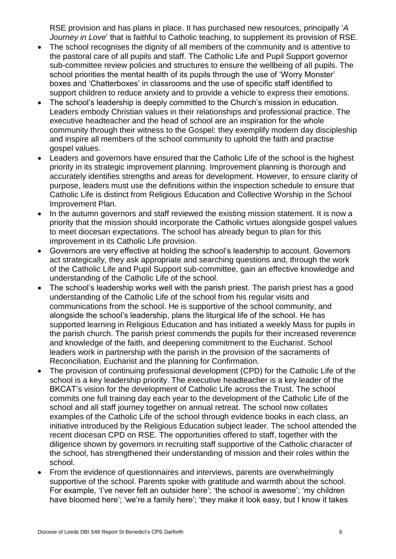RSE provision and has plans in place. It has purchased new resources, principally '*A Journey in Love*' that is faithful to Catholic teaching, to supplement its provision of RSE.

- The school recognises the dignity of all members of the community and is attentive to the pastoral care of all pupils and staff. The Catholic Life and Pupil Support governor sub-committee review policies and structures to ensure the wellbeing of all pupils. The school priorities the mental health of its pupils through the use of 'Worry Monster' boxes and 'Chatterboxes' in classrooms and the use of specific staff identified to support children to reduce anxiety and to provide a vehicle to express their emotions.
- The school's leadership is deeply committed to the Church's mission in education. Leaders embody Christian values in their relationships and professional practice. The executive headteacher and the head of school are an inspiration for the whole community through their witness to the Gospel: they exemplify modern day discipleship and inspire all members of the school community to uphold the faith and practise gospel values.
- Leaders and governors have ensured that the Catholic Life of the school is the highest priority in its strategic improvement planning. Improvement planning is thorough and accurately identifies strengths and areas for development. However, to ensure clarity of purpose, leaders must use the definitions within the inspection schedule to ensure that Catholic Life is distinct from Religious Education and Collective Worship in the School Improvement Plan.
- In the autumn governors and staff reviewed the existing mission statement. It is now a priority that the mission should incorporate the Catholic virtues alongside gospel values to meet diocesan expectations. The school has already begun to plan for this improvement in its Catholic Life provision.
- Governors are very effective at holding the school's leadership to account. Governors act strategically, they ask appropriate and searching questions and, through the work of the Catholic Life and Pupil Support sub-committee, gain an effective knowledge and understanding of the Catholic Life of the school.
- The school's leadership works well with the parish priest. The parish priest has a good understanding of the Catholic Life of the school from his regular visits and communications from the school. He is supportive of the school community, and alongside the school's leadership, plans the liturgical life of the school. He has supported learning in Religious Education and has initiated a weekly Mass for pupils in the parish church. The parish priest commends the pupils for their increased reverence and knowledge of the faith, and deepening commitment to the Eucharist. School leaders work in partnership with the parish in the provision of the sacraments of Reconciliation, Eucharist and the planning for Confirmation.
- The provision of continuing professional development (CPD) for the Catholic Life of the school is a key leadership priority. The executive headteacher is a key leader of the BKCAT's vision for the development of Catholic Life across the Trust. The school commits one full training day each year to the development of the Catholic Life of the school and all staff journey together on annual retreat. The school now collates examples of the Catholic Life of the school through evidence books in each class, an initiative introduced by the Religious Education subject leader. The school attended the recent diocesan CPD on RSE. The opportunities offered to staff, together with the diligence shown by governors in recruiting staff supportive of the Catholic character of the school, has strengthened their understanding of mission and their roles within the school.
- From the evidence of questionnaires and interviews, parents are overwhelmingly supportive of the school. Parents spoke with gratitude and warmth about the school. For example, 'I've never felt an outsider here'; 'the school is awesome'; 'my children have bloomed here'; 'we're a family here'; 'they make it look easy, but I know it takes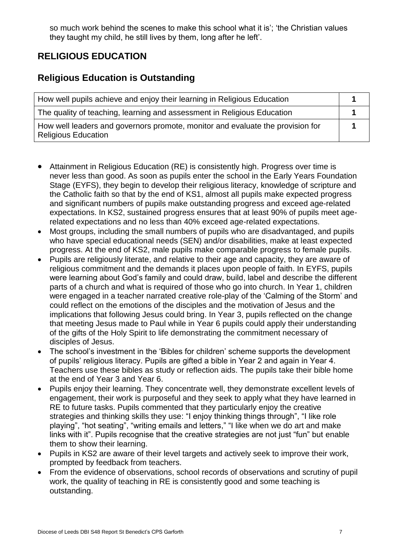so much work behind the scenes to make this school what it is'; 'the Christian values they taught my child, he still lives by them, long after he left'.

## **RELIGIOUS EDUCATION**

### **Religious Education is Outstanding**

| How well pupils achieve and enjoy their learning in Religious Education                                      |  |
|--------------------------------------------------------------------------------------------------------------|--|
| The quality of teaching, learning and assessment in Religious Education                                      |  |
| How well leaders and governors promote, monitor and evaluate the provision for<br><b>Religious Education</b> |  |

- Attainment in Religious Education (RE) is consistently high. Progress over time is never less than good. As soon as pupils enter the school in the Early Years Foundation Stage (EYFS), they begin to develop their religious literacy, knowledge of scripture and the Catholic faith so that by the end of KS1, almost all pupils make expected progress and significant numbers of pupils make outstanding progress and exceed age-related expectations. In KS2, sustained progress ensures that at least 90% of pupils meet agerelated expectations and no less than 40% exceed age-related expectations.
- Most groups, including the small numbers of pupils who are disadvantaged, and pupils who have special educational needs (SEN) and/or disabilities, make at least expected progress. At the end of KS2, male pupils make comparable progress to female pupils.
- Pupils are religiously literate, and relative to their age and capacity, they are aware of religious commitment and the demands it places upon people of faith. In EYFS, pupils were learning about God's family and could draw, build, label and describe the different parts of a church and what is required of those who go into church. In Year 1, children were engaged in a teacher narrated creative role-play of the 'Calming of the Storm' and could reflect on the emotions of the disciples and the motivation of Jesus and the implications that following Jesus could bring. In Year 3, pupils reflected on the change that meeting Jesus made to Paul while in Year 6 pupils could apply their understanding of the gifts of the Holy Spirit to life demonstrating the commitment necessary of disciples of Jesus.
- The school's investment in the 'Bibles for children' scheme supports the development of pupils' religious literacy. Pupils are gifted a bible in Year 2 and again in Year 4. Teachers use these bibles as study or reflection aids. The pupils take their bible home at the end of Year 3 and Year 6.
- Pupils enjoy their learning. They concentrate well, they demonstrate excellent levels of engagement, their work is purposeful and they seek to apply what they have learned in RE to future tasks. Pupils commented that they particularly enjoy the creative strategies and thinking skills they use: "I enjoy thinking things through", "I like role playing", "hot seating", "writing emails and letters," "I like when we do art and make links with it". Pupils recognise that the creative strategies are not just "fun" but enable them to show their learning.
- Pupils in KS2 are aware of their level targets and actively seek to improve their work, prompted by feedback from teachers.
- From the evidence of observations, school records of observations and scrutiny of pupil work, the quality of teaching in RE is consistently good and some teaching is outstanding.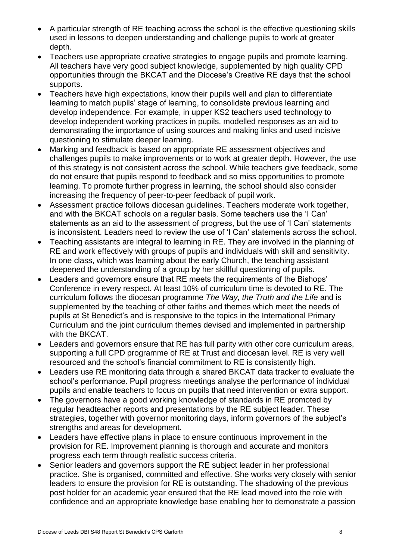- A particular strength of RE teaching across the school is the effective questioning skills used in lessons to deepen understanding and challenge pupils to work at greater depth.
- Teachers use appropriate creative strategies to engage pupils and promote learning. All teachers have very good subject knowledge, supplemented by high quality CPD opportunities through the BKCAT and the Diocese's Creative RE days that the school supports.
- Teachers have high expectations, know their pupils well and plan to differentiate learning to match pupils' stage of learning, to consolidate previous learning and develop independence. For example, in upper KS2 teachers used technology to develop independent working practices in pupils, modelled responses as an aid to demonstrating the importance of using sources and making links and used incisive questioning to stimulate deeper learning.
- Marking and feedback is based on appropriate RE assessment objectives and challenges pupils to make improvements or to work at greater depth. However, the use of this strategy is not consistent across the school. While teachers give feedback, some do not ensure that pupils respond to feedback and so miss opportunities to promote learning. To promote further progress in learning, the school should also consider increasing the frequency of peer-to-peer feedback of pupil work.
- Assessment practice follows diocesan guidelines. Teachers moderate work together, and with the BKCAT schools on a regular basis. Some teachers use the 'I Can' statements as an aid to the assessment of progress, but the use of 'I Can' statements is inconsistent. Leaders need to review the use of 'I Can' statements across the school.
- Teaching assistants are integral to learning in RE. They are involved in the planning of RE and work effectively with groups of pupils and individuals with skill and sensitivity. In one class, which was learning about the early Church, the teaching assistant deepened the understanding of a group by her skillful questioning of pupils.
- Leaders and governors ensure that RE meets the requirements of the Bishops' Conference in every respect. At least 10% of curriculum time is devoted to RE. The curriculum follows the diocesan programme *The Way, the Truth and the Life* and is supplemented by the teaching of other faiths and themes which meet the needs of pupils at St Benedict's and is responsive to the topics in the International Primary Curriculum and the joint curriculum themes devised and implemented in partnership with the BKCAT.
- Leaders and governors ensure that RE has full parity with other core curriculum areas, supporting a full CPD programme of RE at Trust and diocesan level. RE is very well resourced and the school's financial commitment to RE is consistently high.
- Leaders use RE monitoring data through a shared BKCAT data tracker to evaluate the school's performance. Pupil progress meetings analyse the performance of individual pupils and enable teachers to focus on pupils that need intervention or extra support.
- The governors have a good working knowledge of standards in RE promoted by regular headteacher reports and presentations by the RE subject leader. These strategies, together with governor monitoring days, inform governors of the subject's strengths and areas for development.
- Leaders have effective plans in place to ensure continuous improvement in the provision for RE. Improvement planning is thorough and accurate and monitors progress each term through realistic success criteria.
- Senior leaders and governors support the RE subject leader in her professional practice. She is organised, committed and effective. She works very closely with senior leaders to ensure the provision for RE is outstanding. The shadowing of the previous post holder for an academic year ensured that the RE lead moved into the role with confidence and an appropriate knowledge base enabling her to demonstrate a passion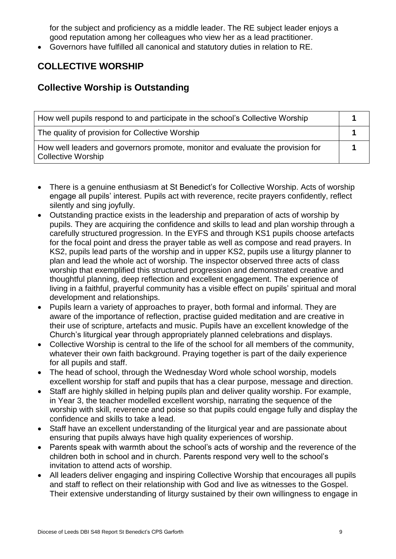for the subject and proficiency as a middle leader. The RE subject leader enjoys a good reputation among her colleagues who view her as a lead practitioner.

Governors have fulfilled all canonical and statutory duties in relation to RE.

## **COLLECTIVE WORSHIP**

### **Collective Worship is Outstanding**

| How well pupils respond to and participate in the school's Collective Worship                               |  |
|-------------------------------------------------------------------------------------------------------------|--|
| The quality of provision for Collective Worship                                                             |  |
| How well leaders and governors promote, monitor and evaluate the provision for<br><b>Collective Worship</b> |  |

- There is a genuine enthusiasm at St Benedict's for Collective Worship. Acts of worship engage all pupils' interest. Pupils act with reverence, recite prayers confidently, reflect silently and sing joyfully.
- Outstanding practice exists in the leadership and preparation of acts of worship by pupils. They are acquiring the confidence and skills to lead and plan worship through a carefully structured progression. In the EYFS and through KS1 pupils choose artefacts for the focal point and dress the prayer table as well as compose and read prayers. In KS2, pupils lead parts of the worship and in upper KS2, pupils use a liturgy planner to plan and lead the whole act of worship. The inspector observed three acts of class worship that exemplified this structured progression and demonstrated creative and thoughtful planning, deep reflection and excellent engagement. The experience of living in a faithful, prayerful community has a visible effect on pupils' spiritual and moral development and relationships.
- Pupils learn a variety of approaches to prayer, both formal and informal. They are aware of the importance of reflection, practise guided meditation and are creative in their use of scripture, artefacts and music. Pupils have an excellent knowledge of the Church's liturgical year through appropriately planned celebrations and displays.
- Collective Worship is central to the life of the school for all members of the community, whatever their own faith background. Praying together is part of the daily experience for all pupils and staff.
- The head of school, through the Wednesday Word whole school worship, models excellent worship for staff and pupils that has a clear purpose, message and direction.
- Staff are highly skilled in helping pupils plan and deliver quality worship. For example, in Year 3, the teacher modelled excellent worship, narrating the sequence of the worship with skill, reverence and poise so that pupils could engage fully and display the confidence and skills to take a lead.
- Staff have an excellent understanding of the liturgical year and are passionate about ensuring that pupils always have high quality experiences of worship.
- Parents speak with warmth about the school's acts of worship and the reverence of the children both in school and in church. Parents respond very well to the school's invitation to attend acts of worship.
- All leaders deliver engaging and inspiring Collective Worship that encourages all pupils and staff to reflect on their relationship with God and live as witnesses to the Gospel. Their extensive understanding of liturgy sustained by their own willingness to engage in